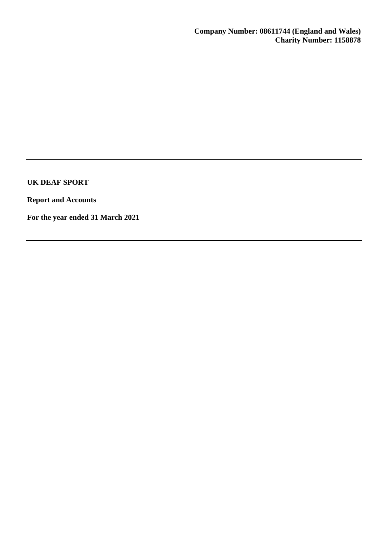**Report and Accounts**

**For the year ended 31 March 2021**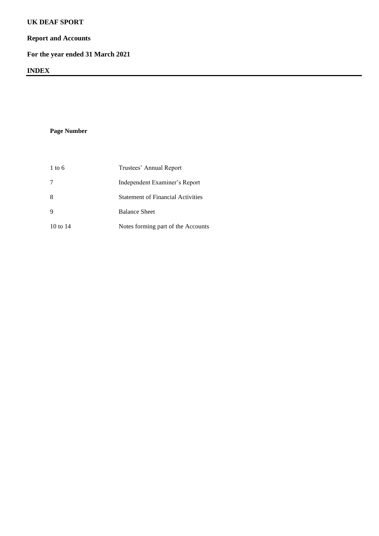# **Report and Accounts**

# **For the year ended 31 March 2021**

# **INDEX**

**Page Number**

| $1$ to 6    | Trustees' Annual Report                  |
|-------------|------------------------------------------|
| 7           | Independent Examiner's Report            |
| 8           | <b>Statement of Financial Activities</b> |
| $\mathbf Q$ | <b>Balance Sheet</b>                     |
| 10 to 14    | Notes forming part of the Accounts       |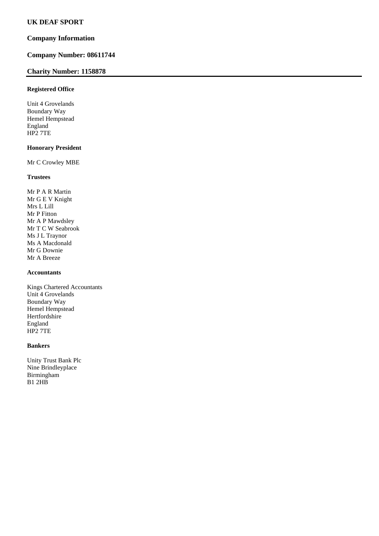# **Company Information**

# **Company Number: 08611744**

## **Charity Number: 1158878**

### **Registered Office**

Unit 4 Grovelands Boundary Way Hemel Hempstead England HP2 7TE

### **Honorary President**

Mr C Crowley MBE

## **Trustees**

Mr P A R Martin Mr G E V Knight Mrs L Lill Mr P Fitton Mr A P Mawdsley Mr T C W Seabrook Ms J L Traynor Ms A Macdonald Mr G Downie Mr A Breeze

# **Accountants**

Kings Chartered Accountants Unit 4 Grovelands Boundary Way Hemel Hempstead Hertfordshire England HP2 7TE

### **Bankers**

Unity Trust Bank Plc Nine Brindleyplace Birmingham B1 2HB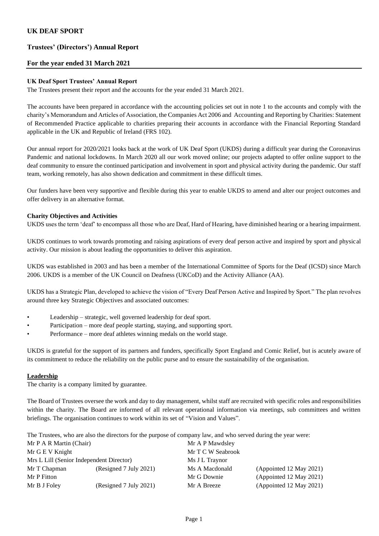# **Trustees' (Directors') Annual Report**

## **For the year ended 31 March 2021**

### **UK Deaf Sport Trustees' Annual Report**

The Trustees present their report and the accounts for the year ended 31 March 2021.

The accounts have been prepared in accordance with the accounting policies set out in note 1 to the accounts and comply with the charity's Memorandum and Articles of Association, the Companies Act 2006 and Accounting and Reporting by Charities: Statement of Recommended Practice applicable to charities preparing their accounts in accordance with the Financial Reporting Standard applicable in the UK and Republic of Ireland (FRS 102).

Our annual report for 2020/2021 looks back at the work of UK Deaf Sport (UKDS) during a difficult year during the Coronavirus Pandemic and national lockdowns. In March 2020 all our work moved online; our projects adapted to offer online support to the deaf community to ensure the continued participation and involvement in sport and physical activity during the pandemic. Our staff team, working remotely, has also shown dedication and commitment in these difficult times.

Our funders have been very supportive and flexible during this year to enable UKDS to amend and alter our project outcomes and offer delivery in an alternative format.

### **Charity Objectives and Activities**

UKDS uses the term 'deaf' to encompass all those who are Deaf, Hard of Hearing, have diminished hearing or a hearing impairment.

UKDS continues to work towards promoting and raising aspirations of every deaf person active and inspired by sport and physical activity. Our mission is about leading the opportunities to deliver this aspiration.

UKDS was established in 2003 and has been a member of the International Committee of Sports for the Deaf (ICSD) since March 2006. UKDS is a member of the UK Council on Deafness (UKCoD) and the Activity Alliance (AA).

UKDS has a Strategic Plan, developed to achieve the vision of "Every Deaf Person Active and Inspired by Sport." The plan revolves around three key Strategic Objectives and associated outcomes:

- Leadership strategic, well governed leadership for deaf sport.
- Participation more deaf people starting, staying, and supporting sport.
- Performance more deaf athletes winning medals on the world stage.

UKDS is grateful for the support of its partners and funders, specifically Sport England and Comic Relief, but is acutely aware of its commitment to reduce the reliability on the public purse and to ensure the sustainability of the organisation.

## **Leadership**

The charity is a company limited by guarantee.

The Board of Trustees oversee the work and day to day management, whilst staff are recruited with specific roles and responsibilities within the charity. The Board are informed of all relevant operational information via meetings, sub committees and written briefings. The organisation continues to work within its set of "Vision and Values".

The Trustees, who are also the directors for the purpose of company law, and who served during the year were:

| Mr P A R Martin (Chair)                  |                        | Mr A P Mawdsley   |                         |  |  |
|------------------------------------------|------------------------|-------------------|-------------------------|--|--|
| Mr G E V Knight                          |                        | Mr T C W Seabrook |                         |  |  |
| Mrs L Lill (Senior Independent Director) |                        | Ms J L Traynor    |                         |  |  |
| Mr T Chapman                             | (Resigned 7 July 2021) | Ms A Macdonald    | (Appointed 12 May 2021) |  |  |
| Mr P Fitton                              |                        | Mr G Downie       | (Appointed 12 May 2021) |  |  |
| Mr B J Foley                             | (Resigned 7 July 2021) | Mr A Breeze       | (Appointed 12 May 2021) |  |  |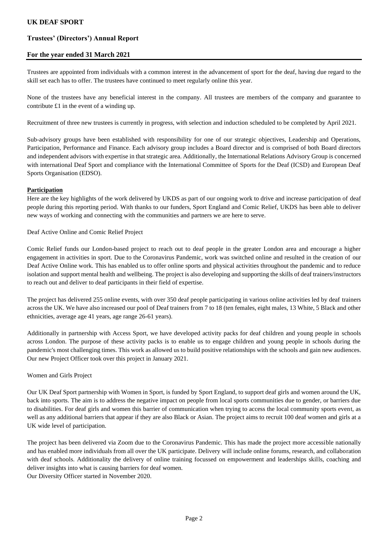# **Trustees' (Directors') Annual Report**

# **For the year ended 31 March 2021**

Trustees are appointed from individuals with a common interest in the advancement of sport for the deaf, having due regard to the skill set each has to offer. The trustees have continued to meet regularly online this year.

None of the trustees have any beneficial interest in the company. All trustees are members of the company and guarantee to contribute £1 in the event of a winding up.

Recruitment of three new trustees is currently in progress, with selection and induction scheduled to be completed by April 2021.

Sub-advisory groups have been established with responsibility for one of our strategic objectives, Leadership and Operations, Participation, Performance and Finance. Each advisory group includes a Board director and is comprised of both Board directors and independent advisors with expertise in that strategic area. Additionally, the International Relations Advisory Group is concerned with international Deaf Sport and compliance with the International Committee of Sports for the Deaf (ICSD) and European Deaf Sports Organisation (EDSO).

### **Participation**

Here are the key highlights of the work delivered by UKDS as part of our ongoing work to drive and increase participation of deaf people during this reporting period. With thanks to our funders, Sport England and Comic Relief, UKDS has been able to deliver new ways of working and connecting with the communities and partners we are here to serve.

Deaf Active Online and Comic Relief Project

Comic Relief funds our London-based project to reach out to deaf people in the greater London area and encourage a higher engagement in activities in sport. Due to the Coronavirus Pandemic, work was switched online and resulted in the creation of our Deaf Active Online work. This has enabled us to offer online sports and physical activities throughout the pandemic and to reduce isolation and support mental health and wellbeing. The project is also developing and supporting the skills of deaf trainers/instructors to reach out and deliver to deaf participants in their field of expertise.

The project has delivered 255 online events, with over 350 deaf people participating in various online activities led by deaf trainers across the UK. We have also increased our pool of Deaf trainers from 7 to 18 (ten females, eight males, 13 White, 5 Black and other ethnicities, average age 41 years, age range 26-61 years).

Additionally in partnership with Access Sport, we have developed activity packs for deaf children and young people in schools across London. The purpose of these activity packs is to enable us to engage children and young people in schools during the pandemic's most challenging times. This work as allowed us to build positive relationships with the schools and gain new audiences. Our new Project Officer took over this project in January 2021.

## Women and Girls Project

Our UK Deaf Sport partnership with Women in Sport, is funded by Sport England, to support deaf girls and women around the UK, back into sports. The aim is to address the negative impact on people from local sports communities due to gender, or barriers due to disabilities. For deaf girls and women this barrier of communication when trying to access the local community sports event, as well as any additional barriers that appear if they are also Black or Asian. The project aims to recruit 100 deaf women and girls at a UK wide level of participation.

The project has been delivered via Zoom due to the Coronavirus Pandemic. This has made the project more accessible nationally and has enabled more individuals from all over the UK participate. Delivery will include online forums, research, and collaboration with deaf schools. Additionality the delivery of online training focussed on empowerment and leaderships skills, coaching and deliver insights into what is causing barriers for deaf women. Our Diversity Officer started in November 2020.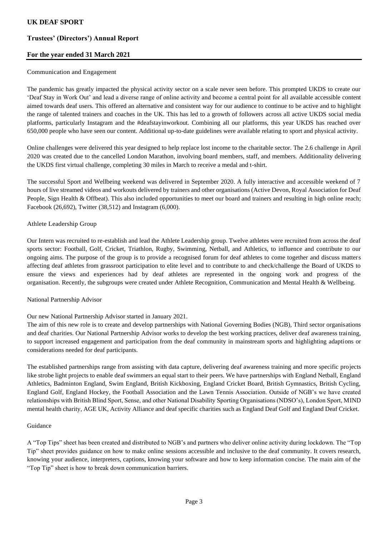# **Trustees' (Directors') Annual Report**

# **For the year ended 31 March 2021**

### Communication and Engagement

The pandemic has greatly impacted the physical activity sector on a scale never seen before. This prompted UKDS to create our 'Deaf Stay in Work Out' and lead a diverse range of online activity and become a central point for all available accessible content aimed towards deaf users. This offered an alternative and consistent way for our audience to continue to be active and to highlight the range of talented trainers and coaches in the UK. This has led to a growth of followers across all active UKDS social media platforms, particularly Instagram and the #deafstayinworkout. Combining all our platforms, this year UKDS has reached over 650,000 people who have seen our content. Additional up-to-date guidelines were available relating to sport and physical activity.

Online challenges were delivered this year designed to help replace lost income to the charitable sector. The 2.6 challenge in April 2020 was created due to the cancelled London Marathon, involving board members, staff, and members. Additionality delivering the UKDS first virtual challenge, completing 30 miles in March to receive a medal and t-shirt.

The successful Sport and Wellbeing weekend was delivered in September 2020. A fully interactive and accessible weekend of 7 hours of live streamed videos and workouts delivered by trainers and other organisations (Active Devon, Royal Association for Deaf People, Sign Health & Offbeat). This also included opportunities to meet our board and trainers and resulting in high online reach; Facebook (26,692), Twitter (38,512) and Instagram (6,000).

## Athlete Leadership Group

Our Intern was recruited to re-establish and lead the Athlete Leadership group. Twelve athletes were recruited from across the deaf sports sector: Football, Golf, Cricket, Triathlon, Rugby, Swimming, Netball, and Athletics, to influence and contribute to our ongoing aims. The purpose of the group is to provide a recognised forum for deaf athletes to come together and discuss matters affecting deaf athletes from grassroot participation to elite level and to contribute to and check/challenge the Board of UKDS to ensure the views and experiences had by deaf athletes are represented in the ongoing work and progress of the organisation. Recently, the subgroups were created under Athlete Recognition, Communication and Mental Health & Wellbeing.

#### National Partnership Advisor

## Our new National Partnership Advisor started in January 2021.

The aim of this new role is to create and develop partnerships with National Governing Bodies (NGB), Third sector organisations and deaf charities. Our National Partnership Advisor works to develop the best working practices, deliver deaf awareness training, to support increased engagement and participation from the deaf community in mainstream sports and highlighting adaptions or considerations needed for deaf participants.

The established partnerships range from assisting with data capture, delivering deaf awareness training and more specific projects like strobe light projects to enable deaf swimmers an equal start to their peers. We have partnerships with England Netball, England Athletics, Badminton England, Swim England, British Kickboxing, England Cricket Board, British Gymnastics, British Cycling, England Golf, England Hockey, the Football Association and the Lawn Tennis Association. Outside of NGB's we have created relationships with British Blind Sport, Sense, and other National Disability Sporting Organisations (NDSO's), London Sport, MIND mental health charity, AGE UK, Activity Alliance and deaf specific charities such as England Deaf Golf and England Deaf Cricket.

#### Guidance

A "Top Tips" sheet has been created and distributed to NGB's and partners who deliver online activity during lockdown. The "Top Tip" sheet provides guidance on how to make online sessions accessible and inclusive to the deaf community. It covers research, knowing your audience, interpreters, captions, knowing your software and how to keep information concise. The main aim of the "Top Tip" sheet is how to break down communication barriers.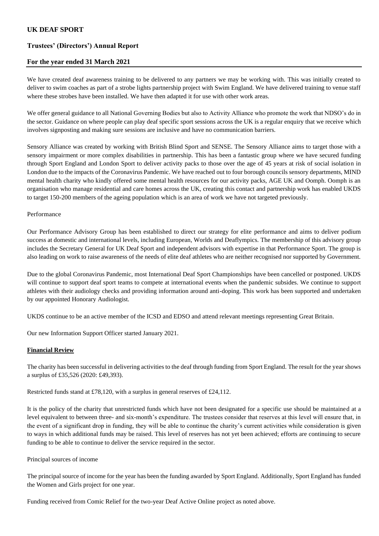# **Trustees' (Directors') Annual Report**

### **For the year ended 31 March 2021**

We have created deaf awareness training to be delivered to any partners we may be working with. This was initially created to deliver to swim coaches as part of a strobe lights partnership project with Swim England. We have delivered training to venue staff where these strobes have been installed. We have then adapted it for use with other work areas.

We offer general guidance to all National Governing Bodies but also to Activity Alliance who promote the work that NDSO's do in the sector. Guidance on where people can play deaf specific sport sessions across the UK is a regular enquiry that we receive which involves signposting and making sure sessions are inclusive and have no communication barriers.

Sensory Alliance was created by working with British Blind Sport and SENSE. The Sensory Alliance aims to target those with a sensory impairment or more complex disabilities in partnership. This has been a fantastic group where we have secured funding through Sport England and London Sport to deliver activity packs to those over the age of 45 years at risk of social isolation in London due to the impacts of the Coronavirus Pandemic. We have reached out to four borough councils sensory departments, MIND mental health charity who kindly offered some mental health resources for our activity packs, AGE UK and Oomph. Oomph is an organisation who manage residential and care homes across the UK, creating this contact and partnership work has enabled UKDS to target 150-200 members of the ageing population which is an area of work we have not targeted previously.

#### Performance

Our Performance Advisory Group has been established to direct our strategy for elite performance and aims to deliver podium success at domestic and international levels, including European, Worlds and Deaflympics. The membership of this advisory group includes the Secretary General for UK Deaf Sport and independent advisors with expertise in that Performance Sport. The group is also leading on work to raise awareness of the needs of elite deaf athletes who are neither recognised nor supported by Government.

Due to the global Coronavirus Pandemic, most International Deaf Sport Championships have been cancelled or postponed. UKDS will continue to support deaf sport teams to compete at international events when the pandemic subsides. We continue to support athletes with their audiology checks and providing information around anti-doping. This work has been supported and undertaken by our appointed Honorary Audiologist.

UKDS continue to be an active member of the ICSD and EDSO and attend relevant meetings representing Great Britain.

Our new Information Support Officer started January 2021.

## **Financial Review**

The charity has been successful in delivering activities to the deaf through funding from Sport England. The result for the year shows a surplus of £35,526 (2020: £49,393).

Restricted funds stand at £78,120, with a surplus in general reserves of £24,112.

It is the policy of the charity that unrestricted funds which have not been designated for a specific use should be maintained at a level equivalent to between three- and six-month's expenditure. The trustees consider that reserves at this level will ensure that, in the event of a significant drop in funding, they will be able to continue the charity's current activities while consideration is given to ways in which additional funds may be raised. This level of reserves has not yet been achieved; efforts are continuing to secure funding to be able to continue to deliver the service required in the sector.

#### Principal sources of income

The principal source of income for the year has been the funding awarded by Sport England. Additionally, Sport England has funded the Women and Girls project for one year.

Funding received from Comic Relief for the two-year Deaf Active Online project as noted above.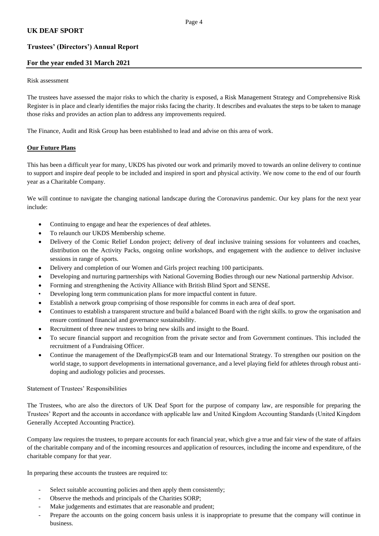# **Trustees' (Directors') Annual Report**

# **For the year ended 31 March 2021**

#### Risk assessment

The trustees have assessed the major risks to which the charity is exposed, a Risk Management Strategy and Comprehensive Risk Register is in place and clearly identifies the major risks facing the charity. It describes and evaluates the steps to be taken to manage those risks and provides an action plan to address any improvements required.

The Finance, Audit and Risk Group has been established to lead and advise on this area of work.

## **Our Future Plans**

This has been a difficult year for many, UKDS has pivoted our work and primarily moved to towards an online delivery to continue to support and inspire deaf people to be included and inspired in sport and physical activity. We now come to the end of our fourth year as a Charitable Company.

We will continue to navigate the changing national landscape during the Coronavirus pandemic. Our key plans for the next year include:

- Continuing to engage and hear the experiences of deaf athletes.
- To relaunch our UKDS Membership scheme.
- Delivery of the Comic Relief London project; delivery of deaf inclusive training sessions for volunteers and coaches, distribution on the Activity Packs, ongoing online workshops, and engagement with the audience to deliver inclusive sessions in range of sports.
- Delivery and completion of our Women and Girls project reaching 100 participants.
- Developing and nurturing partnerships with National Governing Bodies through our new National partnership Advisor.
- Forming and strengthening the Activity Alliance with British Blind Sport and SENSE.
- Developing long term communication plans for more impactful content in future.
- Establish a network group comprising of those responsible for comms in each area of deaf sport.
- Continues to establish a transparent structure and build a balanced Board with the right skills. to grow the organisation and ensure continued financial and governance sustainability.
- Recruitment of three new trustees to bring new skills and insight to the Board.
- To secure financial support and recognition from the private sector and from Government continues. This included the recruitment of a Fundraising Officer.
- Continue the management of the DeaflympicsGB team and our International Strategy. To strengthen our position on the world stage, to support developments in international governance, and a level playing field for athletes through robust antidoping and audiology policies and processes.

Statement of Trustees' Responsibilities

The Trustees, who are also the directors of UK Deaf Sport for the purpose of company law, are responsible for preparing the Trustees' Report and the accounts in accordance with applicable law and United Kingdom Accounting Standards (United Kingdom Generally Accepted Accounting Practice).

Company law requires the trustees, to prepare accounts for each financial year, which give a true and fair view of the state of affairs of the charitable company and of the incoming resources and application of resources, including the income and expenditure, of the charitable company for that year.

In preparing these accounts the trustees are required to:

- Select suitable accounting policies and then apply them consistently;
- Observe the methods and principals of the Charities SORP;
- Make judgements and estimates that are reasonable and prudent;
- Prepare the accounts on the going concern basis unless it is inappropriate to presume that the company will continue in business.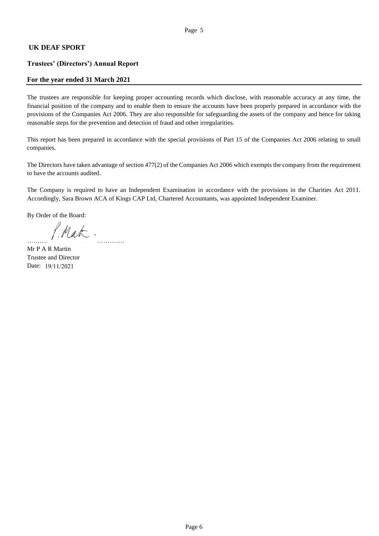# **Trustees' (Directors') Annual Report**

## **For the year ended 31 March 2021**

The trustees are responsible for keeping proper accounting records which disclose, with reasonable accuracy at any time, the financial position of the company and to enable them to ensure the accounts have been properly prepared in accordance with the provisions of the Companies Act 2006. They are also responsible for safeguarding the assets of the company and hence for taking reasonable steps for the prevention and detection of fraud and other irregularities.

This report has been prepared in accordance with the special provisions of Part 15 of the Companies Act 2006 relating to small companies.

The Directors have taken advantage of section 477(2) of the Companies Act 2006 which exempts the company from the requirement to have the accounts audited.

The Company is required to have an Independent Examination in accordance with the provisions in the Charities Act 2011. Accordingly, Sara Brown ACA of Kings CAP Ltd, Chartered Accountants, was appointed Independent Examiner.

By Order of the Board:

……………………………………….

Mr P A R Martin Trustee and Director Date: 19/11/2021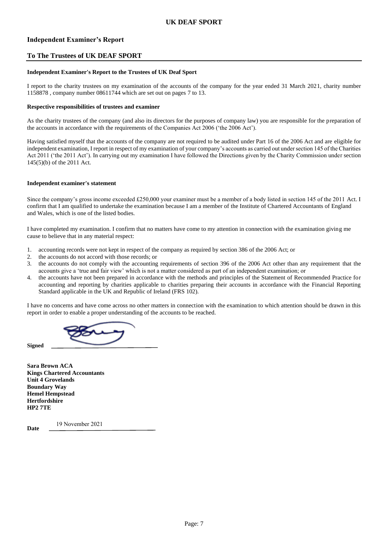# **Independent Examiner's Report**

### **To The Trustees of UK DEAF SPORT**

#### **Independent Examiner's Report to the Trustees of UK Deaf Sport**

I report to the charity trustees on my examination of the accounts of the company for the year ended 31 March 2021, charity number 1158878 , company number 08611744 which are set out on pages 7 to 13.

#### **Respective responsibilities of trustees and examiner**

As the charity trustees of the company (and also its directors for the purposes of company law) you are responsible for the preparation of the accounts in accordance with the requirements of the Companies Act 2006 ('the 2006 Act').

Having satisfied myself that the accounts of the company are not required to be audited under Part 16 of the 2006 Act and are eligible for independent examination, I report in respect of my examination of your company's accounts as carried out under section 145 of the Charities Act 2011 ('the 2011 Act'). In carrying out my examination I have followed the Directions given by the Charity Commission under section 145(5)(b) of the 2011 Act.

#### **Independent examiner's statement**

Since the company's gross income exceeded £250,000 your examiner must be a member of a body listed in section 145 of the 2011 Act. I confirm that I am qualified to undertake the examination because I am a member of the Institute of Chartered Accountants of England and Wales, which is one of the listed bodies.

I have completed my examination. I confirm that no matters have come to my attention in connection with the examination giving me cause to believe that in any material respect:

- 1. accounting records were not kept in respect of the company as required by section 386 of the 2006 Act; or
- 2. the accounts do not accord with those records; or
- 3. the accounts do not comply with the accounting requirements of section 396 of the 2006 Act other than any requirement that the accounts give a 'true and fair view' which is not a matter considered as part of an independent examination; or
- 4. the accounts have not been prepared in accordance with the methods and principles of the Statement of Recommended Practice for accounting and reporting by charities applicable to charities preparing their accounts in accordance with the Financial Reporting Standard applicable in the UK and Republic of Ireland (FRS 102).

I have no concerns and have come across no other matters in connection with the examination to which attention should be drawn in this report in order to enable a proper understanding of the accounts to be reached.

**Sara Brown ACA Kings Chartered Accountants Unit 4 Grovelands Boundary Way Hemel Hempstead Hertfordshire HP2 7TE**

**Date**

**Signed** 

19 November 2021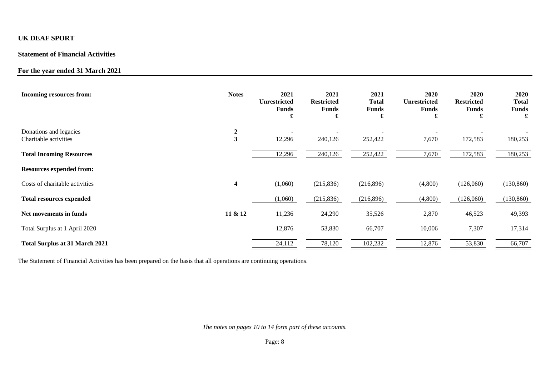# **Statement of Financial Activities**

# **For the year ended 31 March 2021**

| <b>Incoming resources from:</b>                 | <b>Notes</b>                                | 2021<br><b>Unrestricted</b><br><b>Funds</b><br>£ | 2021<br><b>Restricted</b><br><b>Funds</b><br>£ | 2021<br>Total<br><b>Funds</b><br>£ | 2020<br><b>Unrestricted</b><br><b>Funds</b><br>£ | 2020<br><b>Restricted</b><br><b>Funds</b><br>£ | 2020<br><b>Total</b><br><b>Funds</b><br>£ |
|-------------------------------------------------|---------------------------------------------|--------------------------------------------------|------------------------------------------------|------------------------------------|--------------------------------------------------|------------------------------------------------|-------------------------------------------|
| Donations and legacies<br>Charitable activities | $\boldsymbol{2}$<br>$\overline{\mathbf{3}}$ | 12,296                                           | 240,126                                        | 252,422                            | 7,670                                            | 172,583                                        | 180,253                                   |
| <b>Total Incoming Resources</b>                 |                                             | 12,296                                           | 240,126                                        | 252,422                            | 7,670                                            | 172,583                                        | 180,253                                   |
| <b>Resources expended from:</b>                 |                                             |                                                  |                                                |                                    |                                                  |                                                |                                           |
| Costs of charitable activities                  | $\overline{\mathbf{4}}$                     | (1,060)                                          | (215, 836)                                     | (216,896)                          | (4,800)                                          | (126,060)                                      | (130, 860)                                |
| <b>Total resources expended</b>                 |                                             | (1,060)                                          | (215, 836)                                     | (216,896)                          | (4,800)                                          | (126,060)                                      | (130, 860)                                |
| Net movements in funds                          | 11 & 12                                     | 11,236                                           | 24,290                                         | 35,526                             | 2,870                                            | 46,523                                         | 49,393                                    |
| Total Surplus at 1 April 2020                   |                                             | 12,876                                           | 53,830                                         | 66,707                             | 10,006                                           | 7,307                                          | 17,314                                    |
| <b>Total Surplus at 31 March 2021</b>           |                                             | 24,112                                           | 78,120                                         | 102,232                            | 12,876                                           | 53,830                                         | 66,707                                    |

The Statement of Financial Activities has been prepared on the basis that all operations are continuing operations.

*The notes on pages 10 to 14 form part of these accounts.*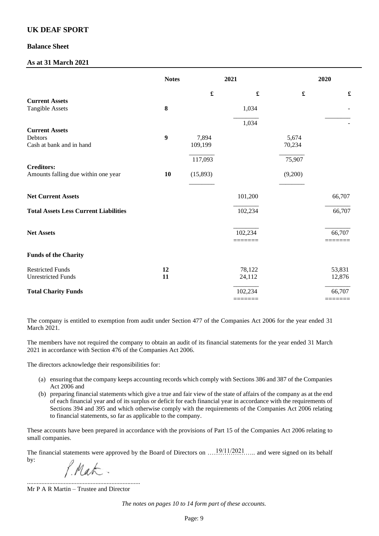## **Balance Sheet**

# **As at 31 March 2021**

|                                              | <b>Notes</b> |                      | 2021                 |                      | 2020                 |
|----------------------------------------------|--------------|----------------------|----------------------|----------------------|----------------------|
|                                              |              | $\pmb{\mathfrak{L}}$ | $\pmb{\mathfrak{L}}$ | $\pmb{\mathfrak{L}}$ | $\pmb{\mathfrak{L}}$ |
| <b>Current Assets</b>                        |              |                      |                      |                      |                      |
| <b>Tangible Assets</b>                       | 8            |                      | 1,034                |                      |                      |
|                                              |              |                      | 1,034                |                      |                      |
| <b>Current Assets</b>                        |              |                      |                      |                      |                      |
| Debtors                                      | 9            | 7,894                |                      | 5,674                |                      |
| Cash at bank and in hand                     |              | 109,199              |                      | 70,234               |                      |
|                                              |              | 117,093              |                      | 75,907               |                      |
| <b>Creditors:</b>                            |              |                      |                      |                      |                      |
| Amounts falling due within one year          | 10           | (15,893)             |                      | (9,200)              |                      |
|                                              |              |                      |                      |                      |                      |
| <b>Net Current Assets</b>                    |              |                      | 101,200              |                      | 66,707               |
| <b>Total Assets Less Current Liabilities</b> |              |                      | 102,234              |                      | 66,707               |
|                                              |              |                      |                      |                      |                      |
| <b>Net Assets</b>                            |              |                      | 102,234              |                      | 66,707               |
| <b>Funds of the Charity</b>                  |              |                      |                      |                      |                      |
| <b>Restricted Funds</b>                      | 12           |                      | 78,122               |                      | 53,831               |
| <b>Unrestricted Funds</b>                    | 11           |                      | 24,112               |                      | 12,876               |
| <b>Total Charity Funds</b>                   |              |                      | 102,234              |                      | 66,707               |
|                                              |              |                      |                      |                      |                      |

The company is entitled to exemption from audit under Section 477 of the Companies Act 2006 for the year ended 31 March 2021.

The members have not required the company to obtain an audit of its financial statements for the year ended 31 March 2021 in accordance with Section 476 of the Companies Act 2006.

The directors acknowledge their responsibilities for:

- (a) ensuring that the company keeps accounting records which comply with Sections 386 and 387 of the Companies Act 2006 and
- (b) preparing financial statements which give a true and fair view of the state of affairs of the company as at the end of each financial year and of its surplus or deficit for each financial year in accordance with the requirements of Sections 394 and 395 and which otherwise comply with the requirements of the Companies Act 2006 relating to financial statements, so far as applicable to the company.

These accounts have been prepared in accordance with the provisions of Part 15 of the Companies Act 2006 relating to small companies.

The financial statements were approved by the Board of Directors on  $\ldots$  19/11/2021... and were signed on its behalf by:

P. Mak.

....................................................................... Mr P A R Martin – Trustee and Director

*The notes on pages 10 to 14 form part of these accounts.*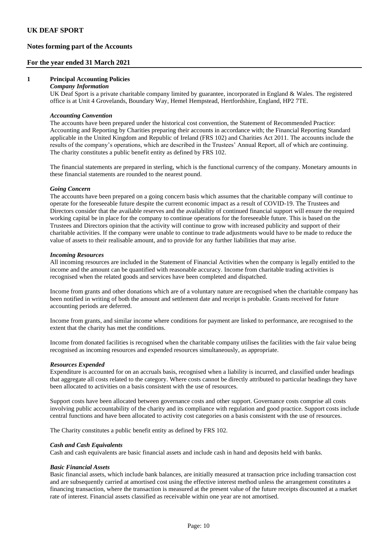# **Notes forming part of the Accounts**

### **For the year ended 31 March 2021**

### **1 Principal Accounting Policies**

#### *Company Information*

UK Deaf Sport is a private charitable company limited by guarantee, incorporated in England & Wales. The registered office is at Unit 4 Grovelands, Boundary Way, Hemel Hempstead, Hertfordshire, England, HP2 7TE.

#### *Accounting Convention*

The accounts have been prepared under the historical cost convention, the Statement of Recommended Practice: Accounting and Reporting by Charities preparing their accounts in accordance with; the Financial Reporting Standard applicable in the United Kingdom and Republic of Ireland (FRS 102) and Charities Act 2011. The accounts include the results of the company's operations, which are described in the Trustees' Annual Report, all of which are continuing. The charity constitutes a public benefit entity as defined by FRS 102.

The financial statements are prepared in sterling, which is the functional currency of the company. Monetary amounts in these financial statements are rounded to the nearest pound.

#### *Going Concern*

The accounts have been prepared on a going concern basis which assumes that the charitable company will continue to operate for the foreseeable future despite the current economic impact as a result of COVID-19. The Trustees and Directors consider that the available reserves and the availability of continued financial support will ensure the required working capital be in place for the company to continue operations for the foreseeable future. This is based on the Trustees and Directors opinion that the activity will continue to grow with increased publicity and support of their charitable activities. If the company were unable to continue to trade adjustments would have to be made to reduce the value of assets to their realisable amount, and to provide for any further liabilities that may arise.

#### *Incoming Resources*

All incoming resources are included in the Statement of Financial Activities when the company is legally entitled to the income and the amount can be quantified with reasonable accuracy. Income from charitable trading activities is recognised when the related goods and services have been completed and dispatched.

Income from grants and other donations which are of a voluntary nature are recognised when the charitable company has been notified in writing of both the amount and settlement date and receipt is probable. Grants received for future accounting periods are deferred.

Income from grants, and similar income where conditions for payment are linked to performance, are recognised to the extent that the charity has met the conditions.

Income from donated facilities is recognised when the charitable company utilises the facilities with the fair value being recognised as incoming resources and expended resources simultaneously, as appropriate.

#### *Resources Expended*

Expenditure is accounted for on an accruals basis, recognised when a liability is incurred, and classified under headings that aggregate all costs related to the category. Where costs cannot be directly attributed to particular headings they have been allocated to activities on a basis consistent with the use of resources.

Support costs have been allocated between governance costs and other support. Governance costs comprise all costs involving public accountability of the charity and its compliance with regulation and good practice. Support costs include central functions and have been allocated to activity cost categories on a basis consistent with the use of resources.

The Charity constitutes a public benefit entity as defined by FRS 102.

#### *Cash and Cash Equivalents*

Cash and cash equivalents are basic financial assets and include cash in hand and deposits held with banks.

#### *Basic Financial Assets*

Basic financial assets, which include bank balances, are initially measured at transaction price including transaction cost and are subsequently carried at amortised cost using the effective interest method unless the arrangement constitutes a financing transaction, where the transaction is measured at the present value of the future receipts discounted at a market rate of interest. Financial assets classified as receivable within one year are not amortised.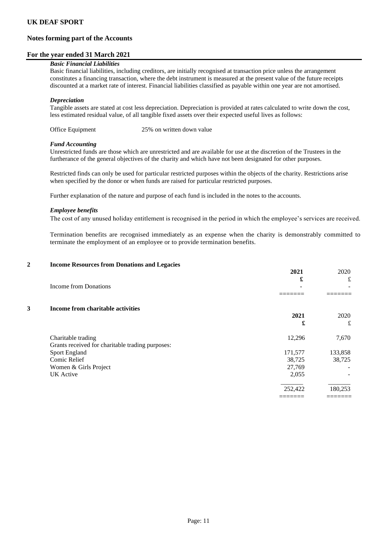# **Notes forming part of the Accounts**

### **For the year ended 31 March 2021**

### *Basic Financial Liabilities*

Basic financial liabilities, including creditors, are initially recognised at transaction price unless the arrangement constitutes a financing transaction, where the debt instrument is measured at the present value of the future receipts discounted at a market rate of interest. Financial liabilities classified as payable within one year are not amortised.

#### *Depreciation*

Tangible assets are stated at cost less depreciation. Depreciation is provided at rates calculated to write down the cost, less estimated residual value, of all tangible fixed assets over their expected useful lives as follows:

Office Equipment 25% on written down value

#### *Fund Accounting*

Unrestricted funds are those which are unrestricted and are available for use at the discretion of the Trustees in the furtherance of the general objectives of the charity and which have not been designated for other purposes.

Restricted finds can only be used for particular restricted purposes within the objects of the charity. Restrictions arise when specified by the donor or when funds are raised for particular restricted purposes.

Further explanation of the nature and purpose of each fund is included in the notes to the accounts.

#### *Employee benefits*

The cost of any unused holiday entitlement is recognised in the period in which the employee's services are received.

Termination benefits are recognised immediately as an expense when the charity is demonstrably committed to terminate the employment of an employee or to provide termination benefits.

#### **2 Income Resources from Donations and Legacies**

|   |                                                  | 2021<br>£ | 2020<br>£ |
|---|--------------------------------------------------|-----------|-----------|
|   | Income from Donations                            |           |           |
| 3 | Income from charitable activities                |           |           |
|   |                                                  | 2021<br>£ | 2020<br>£ |
|   | Charitable trading                               | 12,296    | 7,670     |
|   | Grants received for charitable trading purposes: |           |           |
|   | <b>Sport England</b>                             | 171,577   | 133,858   |
|   | Comic Relief                                     | 38,725    | 38,725    |
|   | Women & Girls Project                            | 27,769    |           |
|   | <b>UK</b> Active                                 | 2,055     |           |
|   |                                                  | 252,422   | 180,253   |
|   |                                                  |           |           |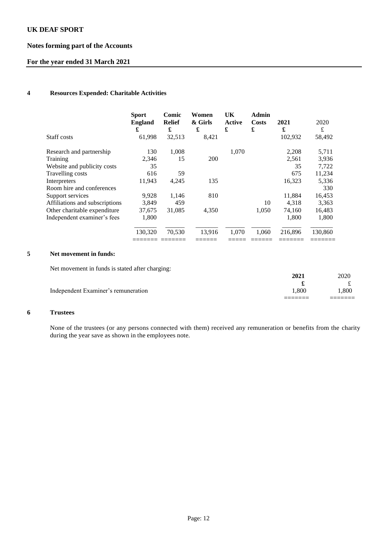# **Notes forming part of the Accounts**

# **For the year ended 31 March 2021**

## **4 Resources Expended: Charitable Activities**

|                                | <b>Sport</b><br><b>England</b><br>£ | Comic<br><b>Relief</b><br>£ | Women<br>& Girls<br>£ | UK<br>Active<br>£ | <b>Admin</b><br>Costs<br>£ | 2021<br>£ | 2020<br>£ |
|--------------------------------|-------------------------------------|-----------------------------|-----------------------|-------------------|----------------------------|-----------|-----------|
| Staff costs                    | 61,998                              | 32,513                      | 8,421                 |                   |                            | 102,932   | 58,492    |
| Research and partnership       | 130                                 | 1,008                       |                       | 1,070             |                            | 2,208     | 5,711     |
| Training                       | 2,346                               | 15                          | <b>200</b>            |                   |                            | 2,561     | 3,936     |
| Website and publicity costs    | 35                                  |                             |                       |                   |                            | 35        | 7,722     |
| Travelling costs               | 616                                 | 59                          |                       |                   |                            | 675       | 11,234    |
| Interpreters                   | 11,943                              | 4,245                       | 135                   |                   |                            | 16,323    | 5,336     |
| Room hire and conferences      |                                     |                             |                       |                   |                            |           | 330       |
| Support services               | 9,928                               | 1,146                       | 810                   |                   |                            | 11,884    | 16,453    |
| Affiliations and subscriptions | 3.849                               | 459                         |                       |                   | 10                         | 4.318     | 3,363     |
| Other charitable expenditure   | 37,675                              | 31,085                      | 4,350                 |                   | 1,050                      | 74,160    | 16,483    |
| Independent examiner's fees    | 1,800                               |                             |                       |                   |                            | 1,800     | 1,800     |
|                                | 130,320                             | 70,530                      | 13,916                | 1,070             | 1.060                      | 216,896   | 130,860   |
|                                |                                     |                             |                       |                   |                            |           |           |

### **5 Net movement in funds:**

Net movement in funds is stated after charging:

| l.800 |
|-------|
|       |
| 2020  |
| 1.800 |

### **6 Trustees**

None of the trustees (or any persons connected with them) received any remuneration or benefits from the charity during the year save as shown in the employees note.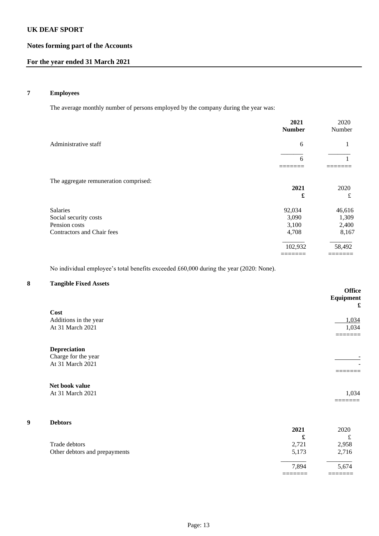# **Notes forming part of the Accounts**

# **For the year ended 31 March 2021**

# **7 Employees**

The average monthly number of persons employed by the company during the year was:

|                                                                                  | 2021<br><b>Number</b>             | 2020<br>Number                    |
|----------------------------------------------------------------------------------|-----------------------------------|-----------------------------------|
| Administrative staff                                                             | 6                                 |                                   |
|                                                                                  | 6                                 |                                   |
| The aggregate remuneration comprised:                                            | 2021<br>£                         | 2020<br>£                         |
| Salaries<br>Social security costs<br>Pension costs<br>Contractors and Chair fees | 92,034<br>3,090<br>3,100<br>4,708 | 46,616<br>1,309<br>2,400<br>8,167 |
|                                                                                  | 102,932                           | 58,492                            |

No individual employee's total benefits exceeded £60,000 during the year (2020: None).

# **8 Tangible Fixed Assets**

|   |                               |       | Office<br>Equipment<br>£ |
|---|-------------------------------|-------|--------------------------|
|   | Cost                          |       |                          |
|   | Additions in the year         |       | 1,034                    |
|   | At 31 March 2021              |       | 1,034                    |
|   | <b>Depreciation</b>           |       |                          |
|   | Charge for the year           |       |                          |
|   | At 31 March 2021              |       |                          |
|   |                               |       |                          |
|   | Net book value                |       |                          |
|   | At 31 March 2021              |       | 1,034                    |
|   |                               |       |                          |
| 9 | <b>Debtors</b>                |       |                          |
|   |                               | 2021  | 2020                     |
|   |                               | £     | $\pounds$                |
|   | Trade debtors                 | 2,721 | 2,958                    |
|   | Other debtors and prepayments | 5,173 | 2,716                    |
|   |                               | 7,894 | 5,674                    |

======= =======